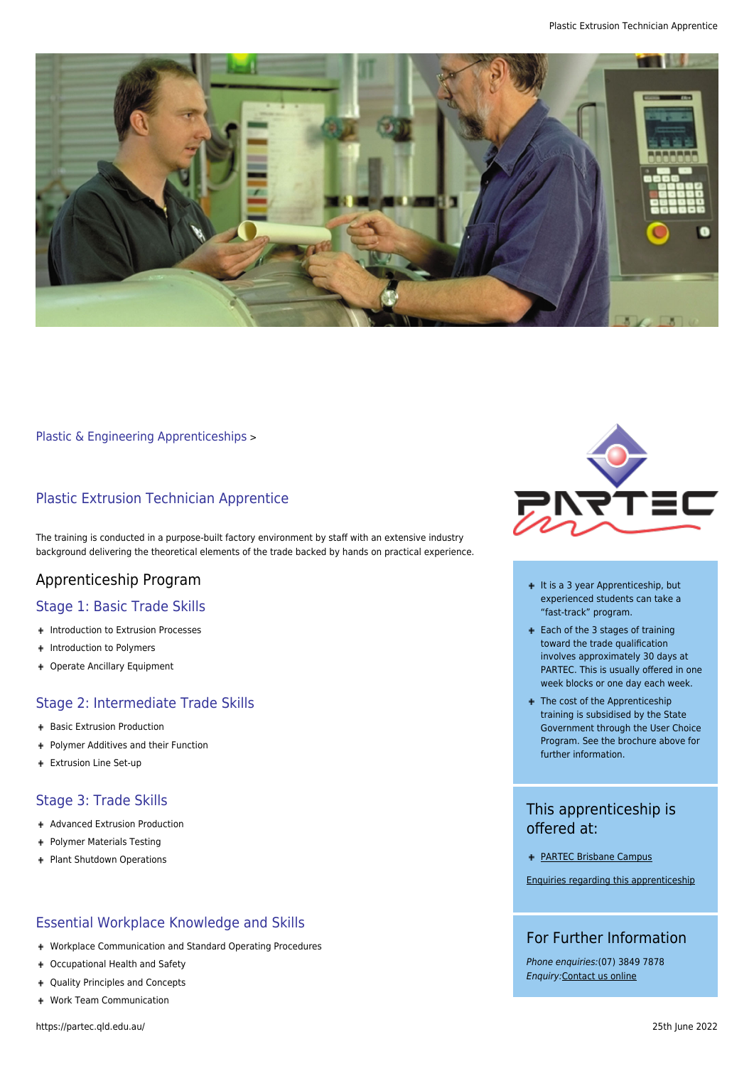

[Plastic & Engineering Apprenticeships](https://partec.qld.edu.au/plastic-engineering-apprenticeships/) >

## Plastic Extrusion Technician Apprentice

The training is conducted in a purpose-built factory environment by staff with an extensive industry background delivering the theoretical elements of the trade backed by hands on practical experience.

# Apprenticeship Program

### Stage 1: Basic Trade Skills

- + Introduction to Extrusion Processes
- + Introduction to Polymers
- Operate Ancillary Equipment

### Stage 2: Intermediate Trade Skills

- + Basic Extrusion Production
- Polymer Additives and their Function
- + Extrusion Line Set-up

#### Stage 3: Trade Skills

- + Advanced Extrusion Production
- + Polymer Materials Testing
- + Plant Shutdown Operations

### Essential Workplace Knowledge and Skills

- Workplace Communication and Standard Operating Procedures
- Occupational Health and Safety
- Quality Principles and Concepts
- Work Team Communication



- + It is a 3 year Apprenticeship, but experienced students can take a "fast-track" program.
- Each of the 3 stages of training toward the trade qualification involves approximately 30 days at PARTEC. This is usually offered in one week blocks or one day each week.
- + The cost of the Apprenticeship training is subsidised by the State Government through the User Choice Program. See the brochure above for further information.

# This apprenticeship is offered at:

[PARTEC Brisbane Campus](https://partec.qld.edu.au/contact-us/contact-partec-brisbane/)

[Enquiries regarding this apprenticeship](https://partec.qld.edu.au/contact-us/)

## For Further Information

Phone enquiries:(07) 3849 7878 Enquiry:[Contact us online](https://partec.qld.edu.au/contact-us/)